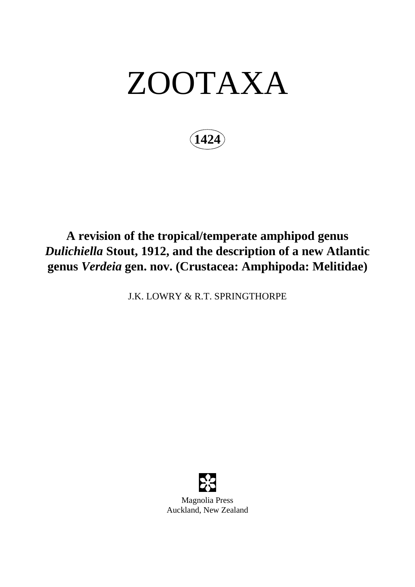# ZOOTAXA

**1424**

## **A revision of the tropical/temperate amphipod genus**  *Dulichiella* **Stout, 1912, and the description of a new Atlantic genus** *Verdeia* **gen. nov. (Crustacea: Amphipoda: Melitidae)**

J.K. LOWRY & R.T. SPRINGTHORPE

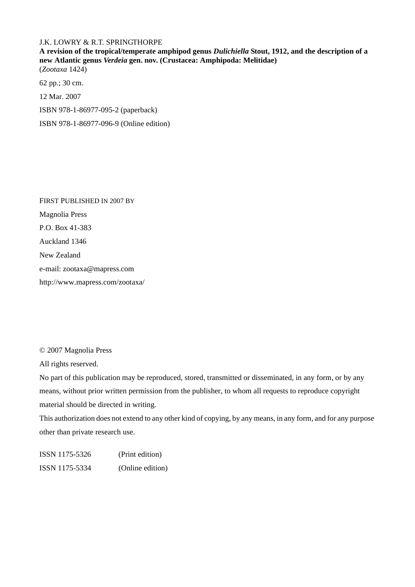#### J.K. LOWRY & R.T. SPRINGTHORPE

**A revision of the tropical/temperate amphipod genus** *Dulichiella* **Stout, 1912, and the description of a new Atlantic genus** *Verdeia* **gen. nov. (Crustacea: Amphipoda: Melitidae)** (*Zootaxa* 1424)

62 pp.; 30 cm. 12 Mar. 2007 ISBN 978-1-86977-095-2 (paperback) ISBN 978-1-86977-096-9 (Online edition)

FIRST PUBLISHED IN 2007 BY Magnolia Press P.O. Box 41-383 Auckland 1346 New Zealand e-mail: zootaxa@mapress.com http://www.mapress.com/zootaxa/

© 2007 Magnolia Press

All rights reserved.

No part of this publication may be reproduced, stored, transmitted or disseminated, in any form, or by any means, without prior written permission from the publisher, to whom all requests to reproduce copyright material should be directed in writing.

This authorization does not extend to any other kind of copying, by any means, in any form, and for any purpose other than private research use.

ISSN 1175-5326 (Print edition) ISSN 1175-5334 (Online edition)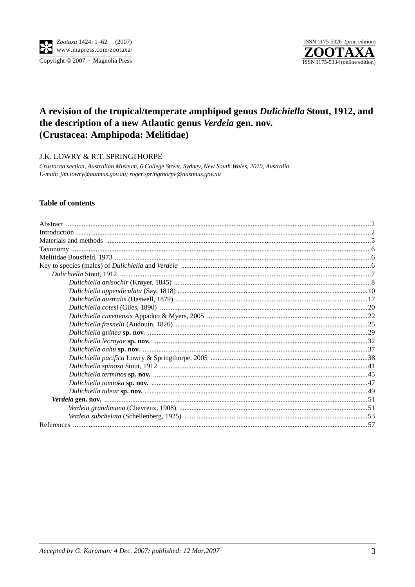

Copyright © 2007 · Magnolia Press



### A revision of the tropical/temperate amphipod genus Dulichiella Stout, 1912, and the description of a new Atlantic genus Verdeia gen. nov. (Crustacea: Amphipoda: Melitidae)

J.K. LOWRY & R.T. SPRINGTHORPE

Crustacea section, Australian Museum, 6 College Street, Sydney, New South Wales, 2010, Australia. E-mail: jim.lowry@autmus.gov.au; roger.springthorpe@austmus.gov.au

#### **Table of contents**